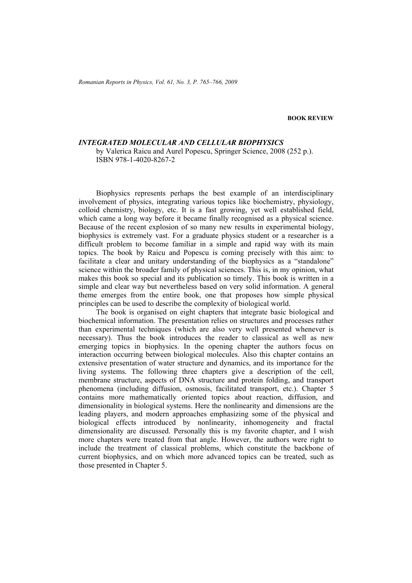**BOOK REVIEW** 

## *INTEGRATED MOLECULAR AND CELLULAR BIOPHYSICS*

by Valerica Raicu and Aurel Popescu, Springer Science, 2008 (252 p.). ISBN 978-1-4020-8267-2

Biophysics represents perhaps the best example of an interdisciplinary involvement of physics, integrating various topics like biochemistry, physiology, colloid chemistry, biology, etc. It is a fast growing, yet well established field, which came a long way before it became finally recognised as a physical science. Because of the recent explosion of so many new results in experimental biology, biophysics is extremely vast. For a graduate physics student or a researcher is a difficult problem to become familiar in a simple and rapid way with its main topics. The book by Raicu and Popescu is coming precisely with this aim: to facilitate a clear and unitary understanding of the biophysics as a "standalone" science within the broader family of physical sciences. This is, in my opinion, what makes this book so special and its publication so timely. This book is written in a simple and clear way but nevertheless based on very solid information. A general theme emerges from the entire book, one that proposes how simple physical principles can be used to describe the complexity of biological world.

The book is organised on eight chapters that integrate basic biological and biochemical information. The presentation relies on structures and processes rather than experimental techniques (which are also very well presented whenever is necessary). Thus the book introduces the reader to classical as well as new emerging topics in biophysics. In the opening chapter the authors focus on interaction occurring between biological molecules. Also this chapter contains an extensive presentation of water structure and dynamics, and its importance for the living systems. The following three chapters give a description of the cell, membrane structure, aspects of DNA structure and protein folding, and transport phenomena (including diffusion, osmosis, facilitated transport, etc.). Chapter 5 contains more mathematically oriented topics about reaction, diffusion, and dimensionality in biological systems. Here the nonlinearity and dimensions are the leading players, and modern approaches emphasizing some of the physical and biological effects introduced by nonlinearity, inhomogeneity and fractal dimensionality are discussed. Personally this is my favorite chapter, and I wish more chapters were treated from that angle. However, the authors were right to include the treatment of classical problems, which constitute the backbone of current biophysics, and on which more advanced topics can be treated, such as those presented in Chapter 5.